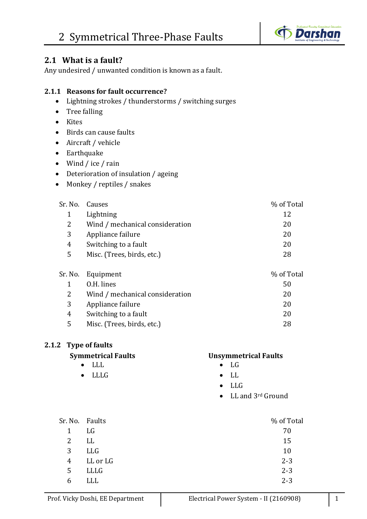

#### **2.1 What is a fault?**

Any undesired / unwanted condition is known as a fault.

#### **2.1.1 Reasons for fault occurrence?**

- Lightning strokes / thunderstorms / switching surges
- Tree falling
- Kites
- Birds can cause faults
- Aircraft / vehicle
- Earthquake
- Wind / ice / rain
- Deterioration of insulation / ageing
- Monkey / reptiles / snakes

|   | Sr. No. Causes                  | % of Total |
|---|---------------------------------|------------|
|   | Lightning                       | 12         |
| 2 | Wind / mechanical consideration | 20         |
| 3 | Appliance failure               | 20         |
| 4 | Switching to a fault            | 20         |
| 5 | Misc. (Trees, birds, etc.)      | 28         |
|   |                                 |            |

|   | Sr. No. Equipment               | % of Total |
|---|---------------------------------|------------|
|   | 0.H. lines                      | 50         |
| 2 | Wind / mechanical consideration | 20         |
| 3 | Appliance failure               | 20         |
| 4 | Switching to a fault            | 20         |
| 5 | Misc. (Trees, birds, etc.)      | 28         |
|   |                                 |            |

#### **2.1.2 Type of faults**

- $LLL$   $LG$
- LLLG LL

#### **Symmetrical Faults Unsymmetrical Faults**

- 
- 
- LLG
- LL and 3<sup>rd</sup> Ground

| Sr. No.        | Faults   | % of Total |
|----------------|----------|------------|
| 1              | LG       | 70         |
| $\overline{2}$ | LL       | 15         |
| 3              | LLG      | 10         |
| 4              | LL or LG | $2 - 3$    |
| 5              | LLLG     | $2 - 3$    |
| 6              | LLL      | $2 - 3$    |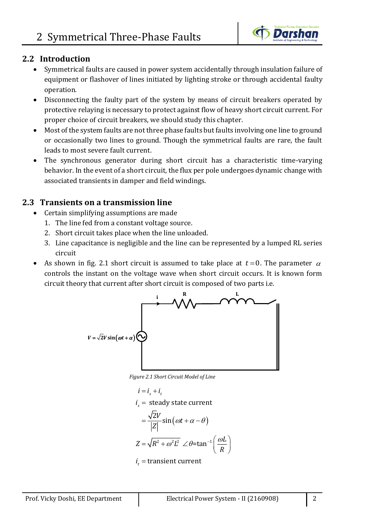

#### **2.2 Introduction**

- Symmetrical faults are caused in power system accidentally through insulation failure of equipment or flashover of lines initiated by lighting stroke or through accidental faulty operation.
- Disconnecting the faulty part of the system by means of circuit breakers operated by protective relaying is necessary to protect against flow of heavy short circuit current. For proper choice of circuit breakers, we should study this chapter.
- Most of the system faults are not three phase faults but faults involving one line to ground or occasionally two lines to ground. Though the symmetrical faults are rare, the fault leads to most severe fault current.
- The synchronous generator during short circuit has a characteristic time-varying behavior. In the event of a short circuit, the flux per pole undergoes dynamic change with associated transients in damper and field windings.

### **2.3 Transients on a transmission line**

- Certain simplifying assumptions are made
	- 1. The line fed from a constant voltage source.
	- 2. Short circuit takes place when the line unloaded.
	- 3. Line capacitance is negligible and the line can be represented by a lumped RL series circuit
- As shown in fig. 2.1 short circuit is assumed to take place at  $t = 0$ . The parameter  $\alpha$ controls the instant on the voltage wave when short circuit occurs. It is known form circuit theory that current after short circuit is composed of two parts i.e.



*Figure 2.1 Short Circuit Model of Line*

$$
i = is + it
$$
  
\n
$$
is = steady state current
$$
  
\n
$$
= \frac{\sqrt{2}V}{|Z|} sin(\omega t + \alpha - \theta)
$$
  
\n
$$
Z = \sqrt{R^2 + \omega^2 L^2} \angle \theta = tan^{-1} \left(\frac{\omega L}{R}\right)
$$
  
\n
$$
it = transient current
$$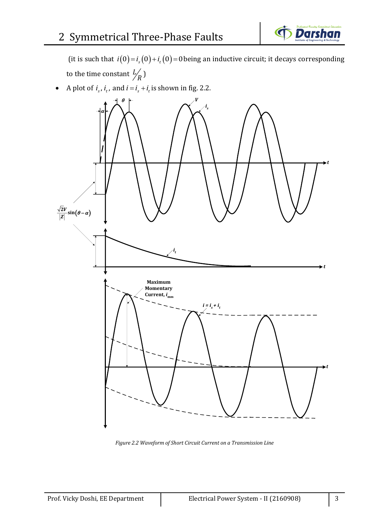

(it is such that  $i(0) = i_s(0) + i_t(0) = 0$  being an inductive circuit; it decays corresponding to the time constant  $\frac{L}{2}$ *R* )

• A plot of  $i_s$ ,  $i_t$ , and  $i = i_s + i_t$  is shown in fig. 2.2.



*Figure 2.2 Waveform of Short Circuit Current on a Transmission Line*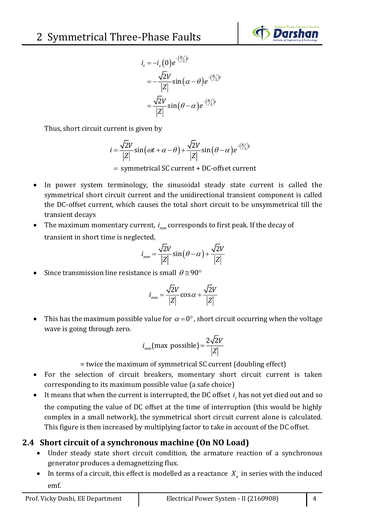

$$
i_t = -i_s(0)e^{-(R/L)t}
$$
  
=  $-\frac{\sqrt{2}V}{|Z|}\sin(\alpha - \theta)e^{-(R/L)t}$   
=  $\frac{\sqrt{2}V}{|Z|}\sin(\theta - \alpha)e^{-(R/L)t}$ 

Thus, short circuit current is given by

$$
i = \frac{\sqrt{2}V}{|Z|}\sin(\omega t + \alpha - \theta) + \frac{\sqrt{2}V}{|Z|}\sin(\theta - \alpha)e^{-(R/L)t}
$$

= symmetrical SC current + DC-offset current

- In power system terminology, the sinusoidal steady state current is called the symmetrical short circuit current and the unidirectional transient component is called the DC-offset current, which causes the total short circuit to be unsymmetrical till the transient decays
- The maximum momentary current,  $i_{mn}$  corresponds to first peak. If the decay of transient in short time is neglected,

$$
i_{mm} = \frac{\sqrt{2}V}{|Z|} \sin(\theta - \alpha) + \frac{\sqrt{2}V}{|Z|}
$$

• Since transmission line resistance is small  $\theta \approx 90^{\circ}$ 

$$
i_{mm} = \frac{\sqrt{2}V}{|Z|} \cos \alpha + \frac{\sqrt{2}V}{|Z|}
$$

• This has the maximum possible value for  $\alpha = 0^\circ$ , short circuit occurring when the voltage wave is going through zero.

$$
i_{mm}(\text{max possible}) = \frac{2\sqrt{2}V}{|Z|}
$$

= twice the maximum of symmetrical SC current (doubling effect)

- For the selection of circuit breakers, momentary short circuit current is taken corresponding to its maximum possible value (a safe choice)
- It means that when the current is interrupted, the DC offset  $i_t$  has not yet died out and so the computing the value of DC offset at the time of interruption (this would be highly complex in a small network), the symmetrical short circuit current alone is calculated. This figure is then increased by multiplying factor to take in account of the DC offset.

## **2.4 Short circuit of a synchronous machine (On NO Load)**

- Under steady state short circuit condition, the armature reaction of a synchronous generator produces a demagnetizing flux.
- In terms of a circuit, this effect is modelled as a reactance  $X_a$  in series with the induced emf.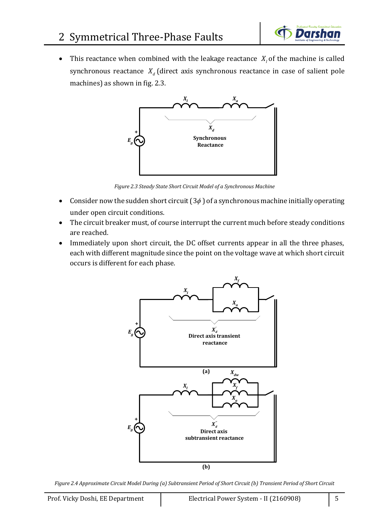

• This reactance when combined with the leakage reactance  $X_i$  of the machine is called synchronous reactance  $X_d$  (direct axis synchronous reactance in case of salient pole machines) as shown in fig. 2.3.



*Figure 2.3 Steady State Short Circuit Model of a Synchronous Machine*

- Consider now the sudden short circuit  $(3\phi)$  of a synchronous machine initially operating under open circuit conditions.
- The circuit breaker must, of course interrupt the current much before steady conditions are reached.
- Immediately upon short circuit, the DC offset currents appear in all the three phases, each with different magnitude since the point on the voltage wave at which short circuit occurs is different for each phase.



*Figure 2.4 Approximate Circuit Model During (a) Subtransient Period of Short Circuit (b) Transient Period of Short Circuit*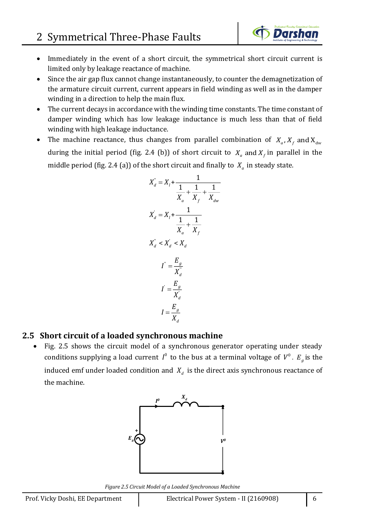- Immediately in the event of a short circuit, the symmetrical short circuit current is limited only by leakage reactance of machine.
- Since the air gap flux cannot change instantaneously, to counter the demagnetization of the armature circuit current, current appears in field winding as well as in the damper winding in a direction to help the main flux.
- The current decays in accordance with the winding time constants. The time constant of damper winding which has low leakage inductance is much less than that of field winding with high leakage inductance.
- The machine reactance, thus changes from parallel combination of  $X_a$ ,  $X_f$  and  $X_{dw}$ during the initial period (fig. 2.4 (b)) of short circuit to  $X_a$  and  $X_f$  in parallel in the middle period (fig. 2.4 (a)) of the short circuit and finally to  $X_a$  in steady state.

$$
X_d^{\prime\prime} = X_l + \frac{1}{\frac{1}{X_a} + \frac{1}{X_f} + \frac{1}{X_{dw}}}
$$
  

$$
X_d^{\prime} = X_l + \frac{1}{\frac{1}{X_a} + \frac{1}{X_f}}
$$
  

$$
X_d^{\prime\prime} < X_d^{\prime} < X_d
$$
  

$$
I^{\prime\prime} = \frac{E_g}{X_d^{\prime\prime}}
$$
  

$$
I^{\prime\prime} = \frac{E_g}{X_d}
$$
  

$$
I = \frac{E_g}{X_d}
$$

#### **2.5 Short circuit of a loaded synchronous machine**

• Fig. 2.5 shows the circuit model of a synchronous generator operating under steady conditions supplying a load current  $I^0$  to the bus at a terminal voltage of  $V^0$ .  $E_g$  is the induced emf under loaded condition and  $X_d$  is the direct axis synchronous reactance of the machine.



*Figure 2.5 Circuit Model of a Loaded Synchronous Machine*

Darshan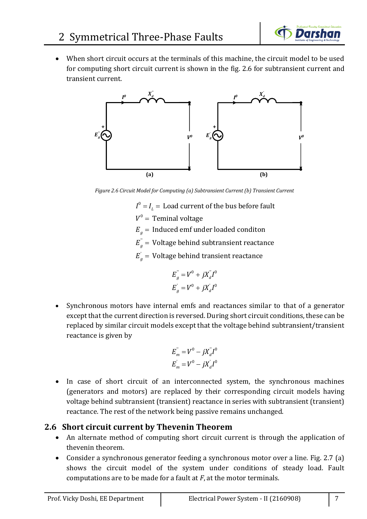

• When short circuit occurs at the terminals of this machine, the circuit model to be used for computing short circuit current is shown in the fig. 2.6 for subtransient current and transient current.



*Figure 2.6 Circuit Model for Computing (a) Subtransient Current (b) Transient Current*

- $I^0$  =  $I^{}_L$  =  $\,$  Load current of the bus before fault
- $V^0 = \text{ Terminal voltage}$
- $E_{\stackrel{\ }{g}}=$  Induced emf under loaded conditon
- $E_{g}^{^{\mathrm{}}}= \text{ Voltage behind subtransient reactance}$
- $E_{g}^{'} = \text{ Voltage behind transient reactance}$

$$
E_{g}^{'} = V^{0} + jX_{d}^{''}I^{0}
$$
  

$$
E_{g}^{'} = V^{0} + jX_{d}^{'}I^{0}
$$

• Synchronous motors have internal emfs and reactances similar to that of a generator except that the current direction is reversed. During short circuit conditions, these can be replaced by similar circuit models except that the voltage behind subtransient/transient reactance is given by

$$
E_{m}^{''} = V^{0} - jX_{d}^{''}I^{0}
$$
  

$$
E_{m}^{'} = V^{0} - jX_{d}^{'}I^{0}
$$

• In case of short circuit of an interconnected system, the synchronous machines (generators and motors) are replaced by their corresponding circuit models having voltage behind subtransient (transient) reactance in series with subtransient (transient) reactance. The rest of the network being passive remains unchanged.

#### **2.6 Short circuit current by Thevenin Theorem**

- An alternate method of computing short circuit current is through the application of thevenin theorem.
- Consider a synchronous generator feeding a synchronous motor over a line. Fig. 2.7 (a) shows the circuit model of the system under conditions of steady load. Fault computations are to be made for a fault at *F*, at the motor terminals.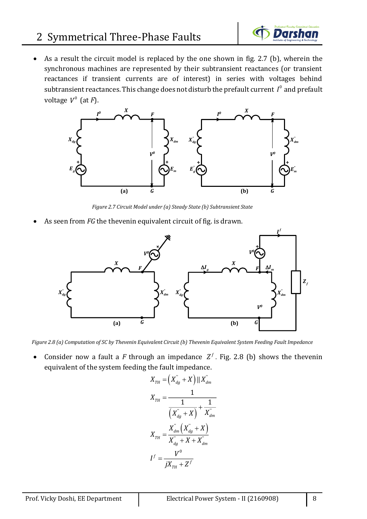

• As a result the circuit model is replaced by the one shown in fig. 2.7 (b), wherein the synchronous machines are represented by their subtransient reactances (or transient reactances if transient currents are of interest) in series with voltages behind subtransient reactances. This change does not disturb the prefault current  $I^0$  and prefault voltage 0 *V* (at *F*).



*Figure 2.7 Circuit Model under (a) Steady State (b) Subtransient State*

As seen from *FG* the thevenin equivalent circuit of fig. is drawn.



*Figure 2.8 (a) Computation of SC by Thevenin Equivalent Circuit (b) Thevenin Equivalent System Feeding Fault Impedance*

• Consider now a fault a F through an impedance  $Z^f$ . Fig. 2.8 (b) shows the thevenin equivalent of the system feeding the fault impedance.

$$
X_{TH} = (X_{dg}^{\dagger} + X) || X_{dm}^{\dagger}
$$

$$
X_{TH} = \frac{1}{(X_{dg}^{\dagger} + X)} + \frac{1}{X_{dm}^{\dagger}}
$$

$$
X_{TH} = \frac{X_{dm}^{\dagger} (X_{dg}^{\dagger} + X)}{X_{dg}^{\dagger} + X + X_{dm}^{\dagger}}
$$

$$
I^{f} = \frac{V^{0}}{jX_{TH} + Z^{f}}
$$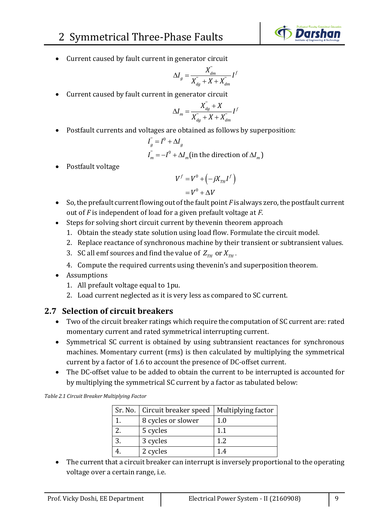

• Current caused by fault current in generator circuit

$$
\Delta I_g = \frac{X_{dm}^{"}}{X_{dg}^{"} + X + X_{dm}^{"}} I^f
$$

• Current caused by fault current in generator circuit

$$
\Delta I_m = \frac{X_{dg}^{\prime} + X}{X_{dg}^{\prime} + X + X_{dm}^{\prime}} I^f
$$

• Postfault currents and voltages are obtained as follows by superposition:

$$
I_{g}^{T} = I^{0} + \Delta I_{g}
$$
  
\n
$$
I_{m}^{T} = -I^{0} + \Delta I_{m} \text{(in the direction of } \Delta I_{m}\text{)}
$$

• Postfault voltage

$$
V^f = V^0 + \left(-jX_{TH}I^f\right)
$$

$$
= V^0 + \Delta V
$$

- So, the prefault current flowing out of the fault point *F* is always zero, the postfault current out of *F* is independent of load for a given prefault voltage at *F*.
- Steps for solving short circuit current by thevenin theorem approach
	- 1. Obtain the steady state solution using load flow. Formulate the circuit model.
	- 2. Replace reactance of synchronous machine by their transient or subtransient values.
	- 3. SC all emf sources and find the value of  $Z_{TH}$  or  $X_{TH}$ .
	- 4. Compute the required currents using thevenin's and superposition theorem.
- Assumptions
	- 1. All prefault voltage equal to 1pu.
	- 2. Load current neglected as it is very less as compared to SC current.

### **2.7 Selection of circuit breakers**

- Two of the circuit breaker ratings which require the computation of SC current are: rated momentary current and rated symmetrical interrupting current.
- Symmetrical SC current is obtained by using subtransient reactances for synchronous machines. Momentary current (rms) is then calculated by multiplying the symmetrical current by a factor of 1.6 to account the presence of DC-offset current.
- The DC-offset value to be added to obtain the current to be interrupted is accounted for by multiplying the symmetrical SC current by a factor as tabulated below:

*Table 2.1 Circuit Breaker Multiplying Factor*

|    | Sr. No.   Circuit breaker speed   Multiplying factor |                |
|----|------------------------------------------------------|----------------|
|    | 8 cycles or slower                                   | 1.0            |
|    | 5 cycles                                             | 1 <sub>1</sub> |
| 3. | 3 cycles                                             | 1.2            |
|    | 2 cycles                                             | 14             |

• The current that a circuit breaker can interrupt is inversely proportional to the operating voltage over a certain range, i.e.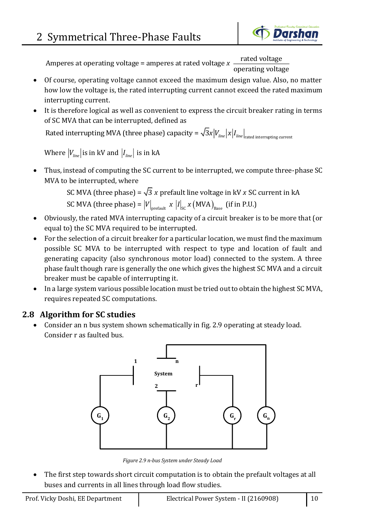

Amperes at operating voltage = amperes at rated voltage x  $\frac{\text{rated voltage}}{\text{total}}$ operating voltage *x*

- Of course, operating voltage cannot exceed the maximum design value. Also, no matter how low the voltage is, the rated interrupting current cannot exceed the rated maximum interrupting current.
- It is therefore logical as well as convenient to express the circuit breaker rating in terms of SC MVA that can be interrupted, defined as

Rated interrupting MVA (three phase) capacity =  $\sqrt{3}$ *x*  $|V_{_{line}}|$   $x$   $|I_{_{line}}|_{_{\rm rated\,interrupting\,current}}$ 

Where  $\left|V_{_{line}}\right|$  is in kV and  $\left|I_{_{line}}\right|$  is in kA

• Thus, instead of computing the SC current to be interrupted, we compute three-phase SC MVA to be interrupted, where current to be interrupted, we<br>*x* prefault line voltage in kV *x*<br> $x |I| = x (MVA)$  (if in B

be interrupted, where<br>
SC MVA (three phase) =  $\sqrt{3}$  x prefault line voltage in kV x SC<br>
SC MVA (three phase) =  $|V|_{\text{prefault}} \times |I|_{\text{SC}} \times (\text{MVA})_{\text{Base}}$  (if in P.U.) SC MVA (three phase) =  $\sqrt{3}$  x prefault line voltage in kV x SC current in kA

- Obviously, the rated MVA interrupting capacity of a circuit breaker is to be more that (or equal to) the SC MVA required to be interrupted.
- For the selection of a circuit breaker for a particular location, we must find the maximum possible SC MVA to be interrupted with respect to type and location of fault and generating capacity (also synchronous motor load) connected to the system. A three phase fault though rare is generally the one which gives the highest SC MVA and a circuit breaker must be capable of interrupting it.
- In a large system various possible location must be tried out to obtain the highest SC MVA, requires repeated SC computations.

## **2.8 Algorithm for SC studies**

• Consider an n bus system shown schematically in fig. 2.9 operating at steady load. Consider r as faulted bus.



*Figure 2.9 n-bus System under Steady Load*

The first step towards short circuit computation is to obtain the prefault voltages at all buses and currents in all lines through load flow studies.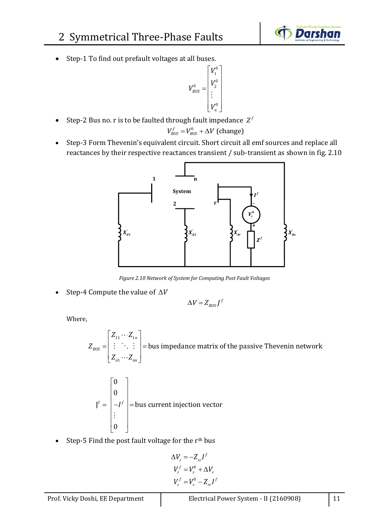

• Step-1 To find out prefault voltages at all buses.

$$
V_{BUS}^{0} = \begin{bmatrix} V_1^{0} \\ V_2^{0} \\ \vdots \\ V_n^{0} \end{bmatrix}
$$

• Step-2 Bus no. r is to be faulted through fault impedance  $Z^f$ 

$$
V_{\text{BUS}}^f = V_{\text{BUS}}^0 + \Delta V \text{ (change)}
$$

• Step-3 Form Thevenin's equivalent circuit. Short circuit all emf sources and replace all reactances by their respective reactances transient / sub-transient as shown in fig. 2.10



*Figure 2.10 Network of System for Computing Post Fault Voltages*

• Step-4 Compute the value of  $\Delta V$ 

$$
\Delta V = Z_{\text{BUS}} f^f
$$

Where,

11  $-1$ 1  $\vdots$   $\vdots$  = bus impedance matrix of the passive Thevenin network *BUS n nn Z Z Z Z Z*  $\lceil Z_{11} \cdots Z_{1n} \rceil$  $\begin{bmatrix} 11 & 1n \\ 1 & 1n \end{bmatrix}$ =| : . : |=  $\boxed{Z_{n1}\cdots Z_{nn}}$ 

$$
\mathbf{J}^{\mathrm{f}} = \begin{bmatrix} 0 \\ 0 \\ -I^{\mathrm{f}} \\ \vdots \\ 0 \end{bmatrix} = \text{bus current injection vector}
$$

Step-5 Find the post fault voltage for the  $r<sup>th</sup>$  bus

$$
\Delta V_r = -Z_{rr}I^f
$$
  

$$
V_r^f = V_r^0 + \Delta V_r
$$
  

$$
V_r^f = V_r^0 - Z_{rr}I^f
$$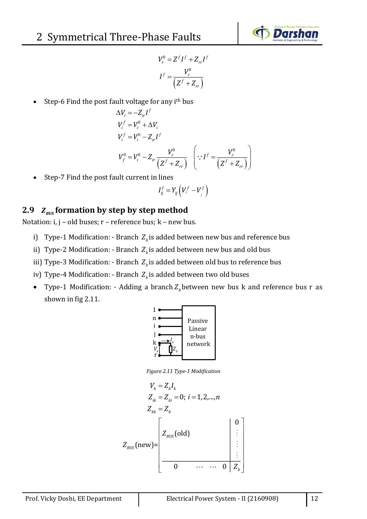

$$
V_r^0 = Z^f I^f + Z_{rr} I^f
$$

$$
I^f = \frac{V_r^0}{\left(Z^f + Z_{rr}\right)}
$$

Step-6 Find the post fault voltage for any i<sup>th</sup> bus

$$
\Delta V_i = -Z_{ir}I^f
$$
  
\n
$$
V_i^f = V_i^0 + \Delta V_i
$$
  
\n
$$
V_i^f = V_i^0 - Z_{ir}I^f
$$
  
\n
$$
V_f^0 = V_i^0 - Z_{ir} \frac{V_r^0}{(Z^f + Z_{rr})} \quad \left(\because I^f = \frac{V_r^0}{(Z^f + Z_{rr})}\right)
$$

• Step-7 Find the post fault current in lines

$$
I_{ij}^f=Y_{ij}\left(V_i^f-V_j^f\right)
$$

### 2.9  $Z_{\text{bus}}$  formation by step by step method

Notation: i, j – old buses; r – reference bus; k – new bus.

- i) Type-1 Modification: Branch  $Z_{\mu}$  is added between new bus and reference bus
- ii) Type-2 Modification: Branch  $Z_{\mu}$  is added between new bus and old bus
- iii) Type-3 Modification: Branch Z<sub>b</sub> is added between old bus to reference bus
- iv) Type-4 Modification: Branch  $Z_b$ is added between two old buses
- Type-1 Modification: Adding a branch  $Z_b$  between new bus k and reference bus r as shown in fig 2.11.



*Figure 2.11 Type-1 Modification*

$$
V_{k} = Z_{b}I_{k}
$$
\n
$$
Z_{ik} = Z_{ki} = 0; i = 1, 2, ..., n
$$
\n
$$
Z_{kk} = Z_{b}
$$
\n
$$
Z_{BUS}(\text{new}) = \begin{bmatrix} 0 & 0 \\ Z_{BUS}(\text{old}) & 0 & \vdots \\ 0 & \cdots & 0 & Z_{b} \end{bmatrix}
$$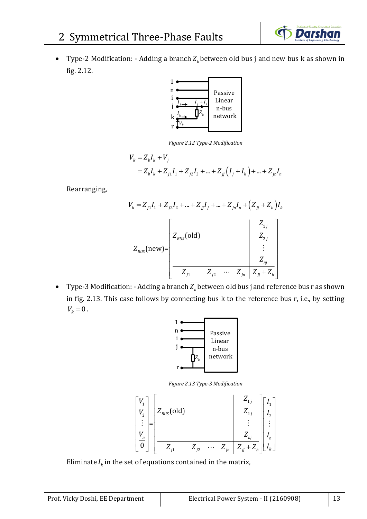

• Type-2 Modification: - Adding a branch  $Z_b$  between old bus j and new bus k as shown in fig. 2.12.



*Figure 2.12 Type-2 Modification*

$$
V_k = Z_b I_k + V_j
$$
  
=  $Z_b I_k + Z_{j1} I_1 + Z_{j2} I_2 + ... + Z_{jj} (I_j + I_k) + ... + Z_{jn} I_n$ 

Rearranging,

$$
V_{k} = Z_{j1}I_{1} + Z_{j2}I_{2} + ... + Z_{jj}I_{j} + ... + Z_{jn}I_{n} + (Z_{jj} + Z_{b})I_{k}
$$
  

$$
Z_{BUS}(\text{new}) = \begin{bmatrix} Z_{1j} & Z_{2j} & Z_{2j} \\ Z_{2j} & Z_{2j} & Z_{2j} \\ Z_{1j} & Z_{2j} & ... & Z_{jn} & Z_{jj} + Z_{b} \end{bmatrix}
$$

• Type-3 Modification: - Adding a branch  $Z<sub>b</sub>$  between old bus j and reference bus r as shown in fig. 2.13. This case follows by connecting bus k to the reference bus r, i.e., by setting  $V_{k} = 0$ .



*Figure 2.13 Type-3 Modification*



Eliminate  $I_k$  in the set of equations contained in the matrix,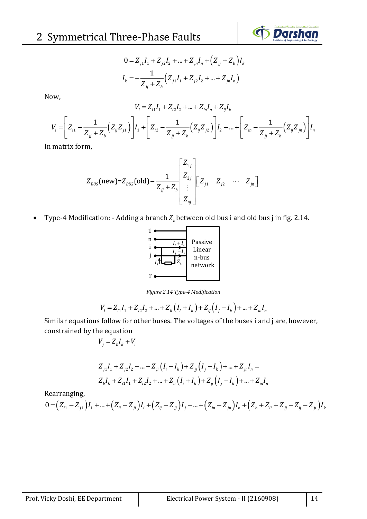$$
0 = Z_{j1}I_1 + Z_{j2}I_2 + \dots + Z_{jn}I_n + (Z_{jj} + Z_b)I_k
$$
  

$$
I_k = -\frac{1}{Z_{jj} + Z_b}(Z_{j1}I_1 + Z_{j2}I_2 + \dots + Z_{jn}I_n)
$$

Now,

$$
V_{i} = Z_{i1}I_{1} + Z_{i2}I_{2} + ... + Z_{in}I_{n} + Z_{ij}I_{k}
$$
\n
$$
V_{i} = \left[Z_{i1} - \frac{1}{Z_{jj} + Z_{b}}(Z_{ij}Z_{j1})\right]I_{1} + \left[Z_{i2} - \frac{1}{Z_{jj} + Z_{b}}(Z_{ij}Z_{j2})\right]I_{2} + ... + \left[Z_{in} - \frac{1}{Z_{jj} + Z_{b}}(Z_{ij}Z_{jn})\right]I_{n}
$$
\nand this form.

In matrix form,

$$
Z_{\text{BUS}}(\text{new}) = Z_{\text{BUS}}(\text{old}) - \frac{1}{Z_{jj} + Z_{b}} \begin{bmatrix} Z_{1j} \\ Z_{2j} \\ \vdots \\ Z_{nj} \end{bmatrix} \begin{bmatrix} Z_{11} & Z_{j2} & \cdots & Z_{jn} \end{bmatrix}
$$

• Type-4 Modification: - Adding a branch  $Z<sub>b</sub>$  between old bus i and old bus j in fig. 2.14.



*Figure 2.14 Type-4 Modification*

$$
V_i = Z_{i1}I_1 + Z_{i2}I_2 + \dots + Z_{ii}(I_i + I_k) + Z_{ij}(I_j - I_k) + \dots + Z_{in}I_n
$$

Similar equations follow for other buses. The voltages of the buses i and j are, however, constrained by the equation

$$
V_j = Z_b I_k + V_i
$$

$$
Z_{j1}I_1 + Z_{j2}I_2 + ... + Z_{ji}(I_i + I_k) + Z_{jj}(I_j - I_k) + ... + Z_{jn}I_n =
$$
  

$$
Z_bI_k + Z_{i1}I_1 + Z_{i2}I_2 + ... + Z_{ii}(I_i + I_k) + Z_{ij}(I_j - I_k) + ... + Z_{in}I_n
$$

Rearranging,

$$
0 = (Z_{i1} - Z_{j1})I_1 + ... + (Z_{ii} - Z_{ji})I_i + (Z_{ij} - Z_{jj})I_j + ... + (Z_{in} - Z_{jn})I_n + (Z_b + Z_{ii} + Z_{jj} - Z_{ij} - Z_{ji})I_k
$$

**Darshan**